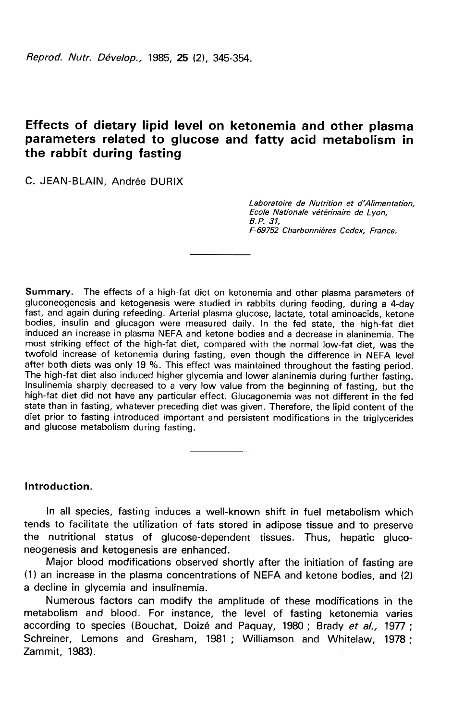# Effects of dietary lipid level on ketonemia and other plasma parameters related to glucose and fatty acid metabolism in the rabbit during fasting

### C. JEAN-BLAIN, Andrée DURIX

Laboratoire de Nutrition et d'Alimentation, Ecole Nationale vétérinaire de Lyon,  $B.P. 31$ F-69752 Charbonnières Cedex, France.

Summary. The effects of a high-fat diet on ketonemia and other plasma parameters of gluconeogenesis and ketogenesis were studied in rabbits during feeding, during a 4-day fast, and again during refeeding. Arterial plasma glucose, lactate, total aminoacids, ketone bodies, insulin and glucagon were measured daily. In the fed state, the high-fat diet induced an increase in plasma NEFA and ketone bodies and a decrease in alaninemia. The most striking effect of the high-fat diet, compared with the normal low-fat diet, was the twofold increase of ketonemia during fasting, even though the difference in NEFA level The high-fat diet also induced higher glycemia and lower alaninemia during further fasting.<br>Insulinemia sharply decreased to a very low value from the beginning of fasting, but the high-fat diet did not have any particular effect. Glucagonemia was not different in the fed state than in fasting, whatever preceding diet was given. Therefore, the lipid content of the diet prior to fasting introduced important and persistent modifications in the triglycerides and glucose metabolism during fasting.

Introduction.

In all species, fasting induces a well-known shift in fuel metabolism which tends to facilitate the utilization of fats stored in adipose tissue and to preserve the nutritional status of glucose-dependent tissues. Thus, hepatic gluconeogenesis and ketogenesis are enhanced.

Major blood modifications observed shortly after the initiation of fasting are (1) an increase in the plasma concentrations of NEFA and ketone bodies, and (2) a decline in glycemia and insulinemia.

Numerous factors can modify the amplitude of these modifications in the metabolism and blood. For instance, the level of fasting ketonemia varies according to species (Bouchat, Doizé and Paquay, 1980; Brady et al., 1977; Schreiner, Lemons and Gresham, 1981 ; Williamson and Whitelaw, 1978 ; Zammit, 1983).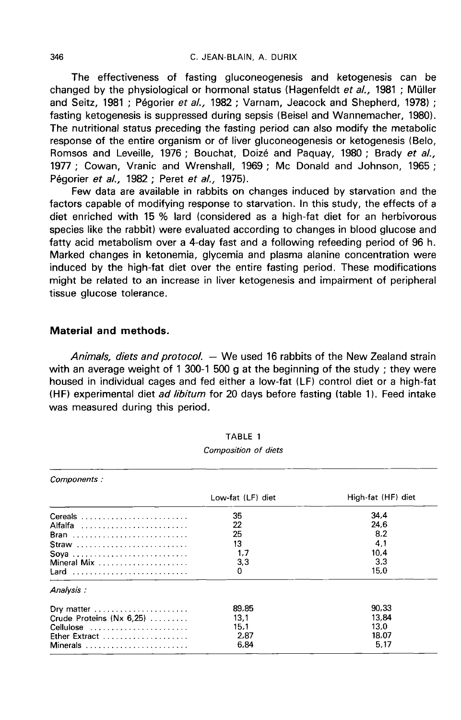The effectiveness of fasting gluconeogenesis and ketogenesis can be changed by the physiological or hormonal status (Hagenfeldt et al., 1981 ; Müller and Seitz, 1981 ; Pégorier et al., 1982 ; Varnam, Jeacock and Shepherd, 1978) ; fasting ketogenesis is suppressed during sepsis (Beisel and Wannemacher, 1980). The nutritional status preceding the fasting period can also modify the metabolic response of the entire organism or of liver gluconeogenesis or ketogenesis (Belo, Romsos and Leveille, 1976 ; Bouchat, Doizé and Paquay, 1980 ; Brady et al., 1977 ; Cowan, Vranic and Wrenshall, 1969 ; Mc Donald and Johnson, 1965 ; Pégorier et al., 1982 ; Peret et al., 1975).

Few data are available in rabbits on changes induced by starvation and the factors capable of modifying response to starvation. In this study, the effects of a diet enriched with 15 % lard (considered as a high-fat diet for an herbivorous species like the rabbit) were evaluated according to changes in blood glucose and fatty acid metabolism over a 4-day fast and a following refeeding period of 96 h. Marked changes in ketonemia, glycemia and plasma alanine concentration were induced by the high-fat diet over the entire fasting period. These modifications might be related to an increase in liver ketogenesis and impairment of peripheral tissue glucose tolerance.

# Material and methods.

Animals, diets and protocol.  $-$  We used 16 rabbits of the New Zealand strain with an average weight of 1 300-1 500 g at the beginning of the study: they were housed in individual cages and fed either a low-fat (LF) control diet or a high-fat (HF) experimental diet *ad libitum* for 20 days before fasting (table 1). Feed intake was measured during this period.

| Components :                                          |                   |                    |
|-------------------------------------------------------|-------------------|--------------------|
|                                                       | Low-fat (LF) diet | High-fat (HF) diet |
| Cereals                                               | 35                | 34.4               |
| Alfalfa                                               | 22                | 24.6               |
| Bran                                                  | 25                | 8.2                |
| Straw                                                 | 13                | 4.1                |
| Soya                                                  | 1,7               | 10.4               |
| Mineral Mix                                           | 3,3               | 3.3                |
| Lard                                                  | 0                 | 15,0               |
| Analysis:                                             |                   |                    |
| Dry matter $\dots\dots\dots\dots\dots\dots\dots\dots$ | 89.85             | 90,33              |
| Crude Proteins (Nx 6,25)                              | 13.1              | 13.84              |
| Cellulose $\ldots \ldots \ldots \ldots \ldots \ldots$ | 15.1              | 13.0               |
| Ether Extract                                         | 2,87              | 18,07              |
| Minerals                                              | 6.84              | 5,17               |

TABLE 1 Composition of diets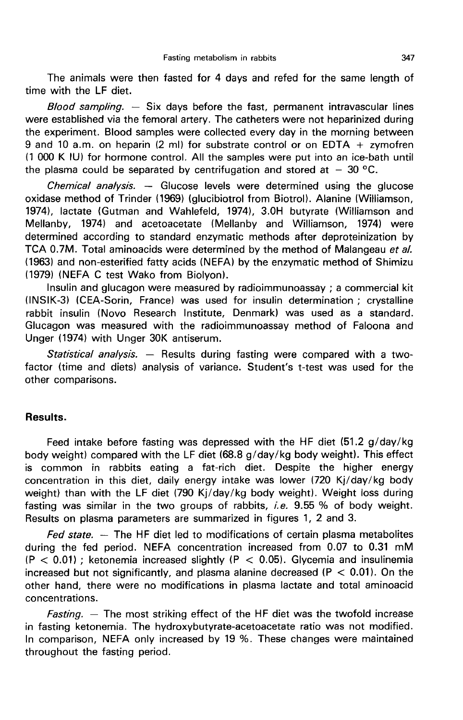The animals were then fasted for 4 days and refed for the same length of time with the LF diet.

Blood sampling.  $-$  Six days before the fast, permanent intravascular lines were established via the femoral artery. The catheters were not heparinized during the experiment. Blood samples were collected every day in the morning between 9 and 10 a.m. on heparin (2 ml) for substrate control or on EDTA + zymofren (1 000 K IU) for hormone control. All the samples were put into an ice-bath until the plasma could be separated by centrifugation and stored at  $-30$  °C.

*Chemical analysis.*  $-$  Glucose levels were determined using the glucose oxidase method of Trinder (1969) (glucibiotrol from Biotrol). Alanine (Williamson, 1974), lactate (Gutman and Wahlefeld, 1974), 3.OH butyrate (Williamson and Mellanby, 1974) and acetoacetate (Mellanby and Williamson, 1974) were determined according to standard enzymatic methods after deproteinization by TCA 0.7M. Total aminoacids were determined by the method of Malangeau et al. (1963) and non-esterified fatty acids (NEFA) by the enzymatic method of Shimizu 11979) (NEFA C test Wako from Biolyon).

Insulin and glucagon were measured by radioimmunoassay ; a commercial kit (INSIK-3) (CEA-Sorin, France) was used for insulin determination ; crystalline rabbit insulin (Novo Research Institute, Denmark) was used as a standard. Glucagon was measured with the radioimmunoassay method of Faloona and Unger (1974) with Unger 30K antiserum.

Statistical analysis.  $-$  Results during fasting were compared with a twofactor (time and diets) analysis of variance. Student's t-test was used for the other comparisons.

# Results.

Feed intake before fasting was depressed with the HF diet (51.2 g/day/kg body weight) compared with the LF diet (68.8 g/day/kg body weight). This effect is common in rabbits eating a fat-rich diet. Despite the higher energy concentration in this diet, daily energy intake was lower (720 Kj/day/kg body weight) than with the LF diet (790 Kj/day/kg body weight). Weight loss during fasting was similar in the two groups of rabbits, i.e.  $9.55\%$  of body weight. Results on plasma parameters are summarized in figures 1, 2 and 3.

Fed state.  $-$  The HF diet led to modifications of certain plasma metabolites during the fed period. NEFA concentration increased from 0.07 to 0.31 mM  $(P < 0.01)$ ; ketonemia increased slightly  $(P < 0.05)$ . Glycemia and insulinemia increased but not significantly, and plasma alanine decreased ( $P < 0.01$ ). On the other hand, there were no modifications in plasma lactate and total aminoacid concentrations.

*Fasting.*  $-$  The most striking effect of the HF diet was the twofold increase in fasting ketonemia. The hydroxybutyrate-acetoacetate ratio was not modified. In comparison, NEFA only increased by 19 %. These changes were maintained throughout the fasting period.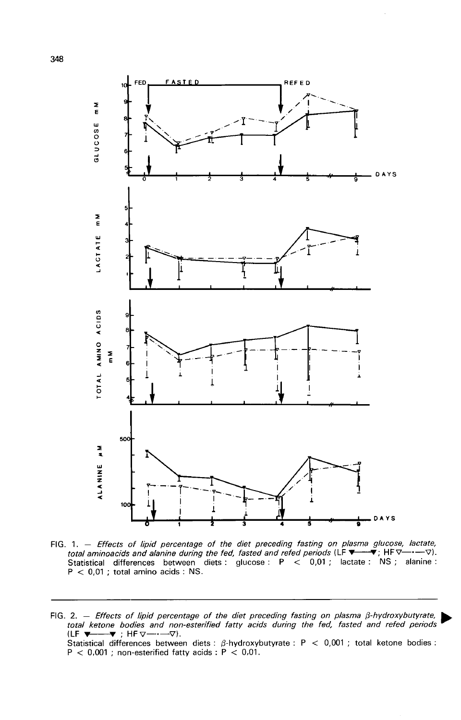

FIG. 1. - Effects of lipid percentage of the diet preceding fasting on plasma glucose, lactate, transitional antipological and alternative processing the fed, fasted and refed periods (LF  $\blacktriangleright$   $\blacktriangleright$   $\blacktriangleright$   $\blacktriangleright$   $\blacktriangleright$   $\blacktriangleright$   $\blacktriangleright$   $\blacktriangleright$   $\blacktriangleright$   $\blacktriangleright$   $\blacktriangleright$   $\blacktriangleright$   $\blacktriangleright$   $\blacktriangleright$   $\blacktriangleright$   $\blacktriangleright$ 

FIG. 2. - Effects of lipid percentage of the diet preceding fasting on plasma  $\beta$ -hydroxybutyrate, total ketone bodies and non-esterified fatty acids during the fed, fasted and refed periods  $LF$   $\blacktriangledown$ —♥ :HF ▽—・—▽).

Statistical differences between diets :  $\beta$ -hydroxybutyrate : P < 0,001 ; total ketone bodies :  $P < 0.001$ ; non-esterified fatty acids :  $P < 0.01$ .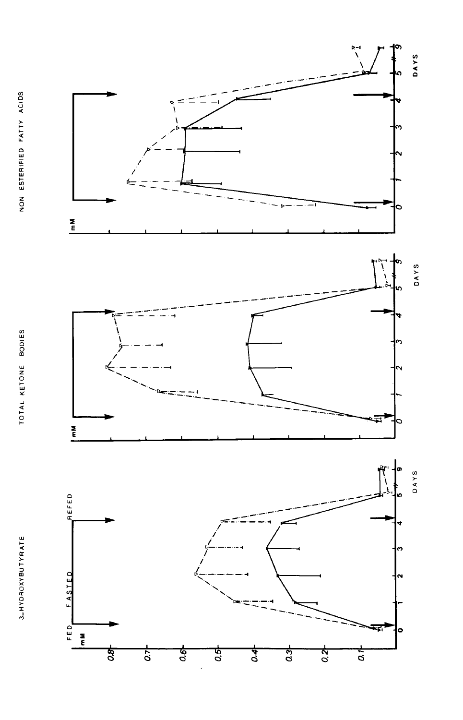



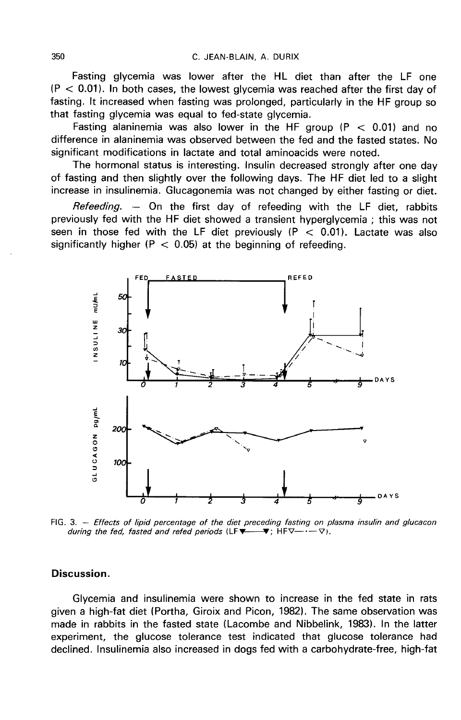Fasting glycemia was lower after the HL diet than after the LF one  $(P < 0.01)$ . In both cases, the lowest glycemia was reached after the first day of fasting. It increased when fasting was prolonged, particularly in the HF group so that fasting glycemia was equal to fed-state glycemia.

Fasting alaninemia was also lower in the HF group ( $P < 0.01$ ) and no difference in alaninemia was observed between the fed and the fasted states. No significant modifications in lactate and total aminoacids were noted.

The hormonal status is interesting. Insulin decreased strongly after one day of fasting and then slightly over the following days. The HF diet led to a slight increase in insulinemia. Glucagonemia was not changed by either fasting or diet.

Refeeding.  $-$  On the first day of refeeding with the LF diet, rabbits previously fed with the HF diet showed a transient hyperglycemia ; this was not seen in those fed with the LF diet previously  $(P < 0.01)$ . Lactate was also significantly higher  $(P < 0.05)$  at the beginning of refeeding.



FIG. 3. - Effects of lipid percentage of the diet preceding fasting on plasma insulin and glucacon during the fed, fasted and refed periods (LF $\blacktriangledown$   $\blacktriangledown$  HFV- $\cdot$   $\blacktriangledown$ ).

# Discussion.

Glycemia and insulinemia were shown to increase in the fed state in rats given a high-fat diet (Portha, Giroix and Picon, 1982). The same observation was made in rabbits in the fasted state (Lacombe and Nibbelink, 1983). In the latter experiment, the glucose tolerance test indicated that glucose tolerance had declined. Insulinemia also increased in dogs fed with a carbohydrate-free, high-fat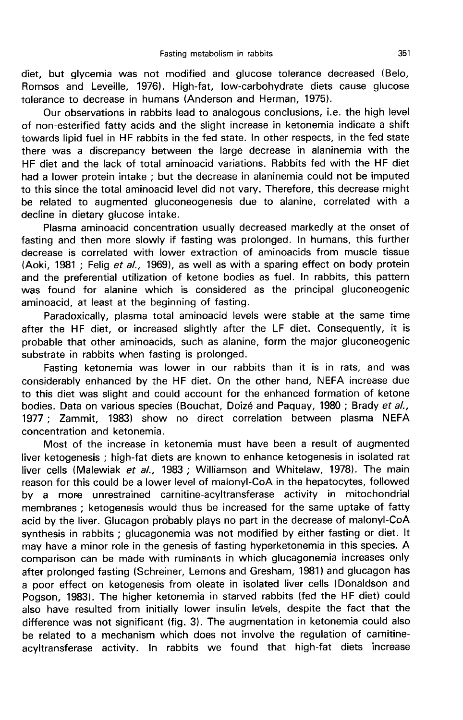diet, but glycemia was not modified and glucose tolerance decreased (Belo, Romsos and Leveille, 1976). High-fat, low-carbohydrate diets cause glucose tolerance to decrease in humans (Anderson and Herman, 1975).

Our observations in rabbits lead to analogous conclusions, i.e. the high level of non-esterified fatty acids and the slight increase in ketonemia indicate a shift towards lipid fuel in HF rabbits in the fed state. In other respects, in the fed state there was a discrepancy between the large decrease in alaninemia with the HF diet and the lack of total aminoacid variations. Rabbits fed with the HF diet had a lower protein intake ; but the decrease in alaninemia could not be imputed to this since the total aminoacid level did not vary. Therefore, this decrease might be related to augmented gluconeogenesis due to alanine, correlated with a decline in dietary glucose intake.

Plasma aminoacid concentration usually decreased markedly at the onset of fasting and then more slowly if fasting was prolonged. In humans, this further decrease is correlated with lower extraction of aminoacids from muscle tissue (Aoki, 1981 ; Felig et al., 1969), as well as with a sparing effect on body protein and the preferential utilization of ketone bodies as fuel. In rabbits, this pattern was found for alanine which is considered as the principal gluconeogenic aminoacid, at least at the beginning of fasting.

Paradoxically, plasma total aminoacid levels were stable at the same time after the HF diet, or increased slightly after the LF diet. Consequently, it is probable that other aminoacids, such as alanine, form the major gluconeogenic substrate in rabbits when fasting is prolonged.

Fasting ketonemia was lower in our rabbits than it is in rats, and was considerably enhanced by the HF diet. On the other hand, NEFA increase due to this diet was slight and could account for the enhanced formation of ketone bodies. Data on various species (Bouchat, Doizé and Paquay, 1980; Brady et al., 1977 ; Zammit, 1983) show no direct correlation between plasma NEFA concentration and ketonemia.

Most of the increase in ketonemia must have been a result of augmented liver ketogenesis ; high-fat diets are known to enhance ketogenesis in isolated rat liver cells (Malewiak et al., 1983 ; Williamson and Whitelaw, 1978). The main reason for this could be a lower level of malonyl-CoA in the hepatocytes, followed by a more unrestrained carnitine-acyltransferase activity in mitochondrial membranes ; ketogenesis would thus be increased for the same uptake of fatty acid by the liver. Glucagon probably plays no part in the decrease of malonyl-CoA synthesis in rabbits ; glucagonemia was not modified by either fasting or diet. It may have a minor role in the genesis of fasting hyperketonemia in this species. A comparison can be made with ruminants in which glucagonemia increases only after prolonged fasting (Schreiner, Lemons and Gresham, 1981) and glucagon has a poor effect on ketogenesis from oleate in isolated liver cells (Donaldson and Pogson, 1983). The higher ketonemia in starved rabbits (fed the HF diet) could also have resulted from initially lower insulin levels, despite the fact that the difference was not significant (fig. 3). The augmentation in ketonemia could also be related to a mechanism which does not involve the regulation of carnitineacyltransferase activity. In rabbits we found that high-fat diets increase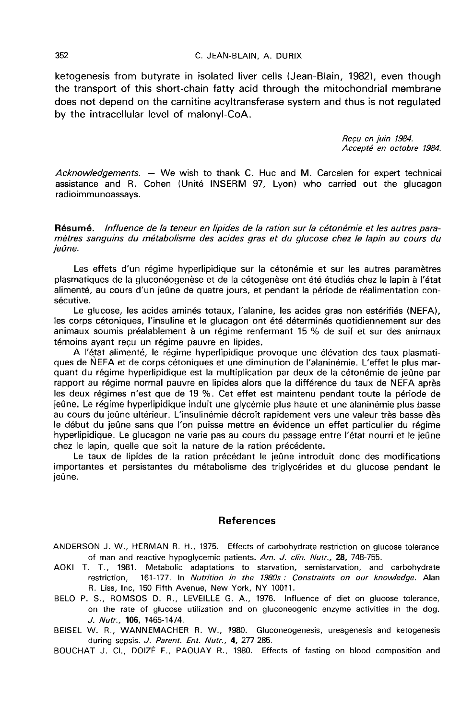ketogenesis from butyrate in isolated liver cells (Jean-Blain, 1982), even though the transport of this short-chain fatty acid through the mitochondrial membrane does not depend on the carnitine acyltransferase system and thus is not regulated by the intracellular level of malonyl-CoA.

> Requ en juin 1984. Accepté en octobre 1984.

 $Acknowledgements. - We wish to thank C. Huc and M. Carcelen for expert technical$ assistance and R. Cohen (Unite INSERM 97, Lyon) who carried out the glucagon radioimmunoassays.

Résumé. Influence de la teneur en lipides de la ration sur la cétonémie et les autres paramètres sanguins du métabolisme des acides gras et du glucose chez le lapin au cours du jeûne.

Les effets d'un régime hyperlipidique sur la cétonémie et sur les autres paramètres plasmatiques de la gluconéogenèse et de la cétogenèse ont été étudiés chez le lapin à l'état alimenté, au cours d'un jeûne de quatre jours, et pendant la période de réalimentation consécutive.

Le glucose, les acides aminés totaux, l'alanine, les acides gras non estérifiés (NEFA), les corps cétoniques, l'insuline et le glucagon ont été déterminés quotidiennement sur des animaux soumis préalablement à un régime renfermant 15 % de suif et sur des animaux

A l'état alimenté, le régime hyperlipidique provoque une élévation des taux plasmatiques de IVEFA et de corps cétoniques et une diminution de l'alaninémie. L'effet le plus marquant du régime hyperlipidique est la multiplication par deux de la cétonémie de jeûne par rapport au régime normal pauvre en lipides alors que la différence du taux de NEFA après les deux régimes n'est que de 19 %. Cet effet est maintenu pendant toute la période de jeûne. Le régime hyperlipidique induit une glycémie plus haute et une alaninémie plus basse au cours du jeûne ultérieur. L'insulinémie décroît rapidement vers une valeur très basse dès le début du jeûne sans que l'on puisse mettre en\_ évidence un effet particulier du régime hyperlipidique. Le glucagon ne varie pas au cours du passage entre l'état nourri et le jeûne chez le lapin, quelle que soit la nature de la ration précédente.

Le taux de lipides de la ration précédant le jeûne introduit donc des modifications importantes et persistantes du métabolisme des triglycérides et du glucose pendant le jeûne.

#### **References**

ANDERSON J. W., HERMAN R. H., 1975. Effects of carbohydrate restriction on glucose tolerance of man and reactive hypoglycemic patients. Am. J. clin. Nutr., 28, 748-755.

- AOKI T. T., 1981. Metabolic adaptations to starvation, semistarvation, and carbohydrate<br>restriction, 161-177. In Nutrition in the 1980s : Constraints on our knowledge. Alan 161-177. In Nutrition in the 1980s : Constraints on our knowledge. Alan R. Liss, Inc, 150 Fifth Avenue, New York, NY 10011.
- BELO P. S., ROMSOS D. R., LEVEILLE G. A., 1976. Influence of diet on glucose tolerance, on the rate of glucose utilization and on gluconeogenic enzyme activities in the dog. J. Nutr., 106, 1465-1474.

BEISEL W. R., WANNEMACHER R. W., 1980. Gluconeogenesis, ureagenesis and ketogenesis during sepsis. J. Parent. Ent. Nutr., 4, 277-285.

BOUCHAT J. Cl., DOIZE F., PAQUAY R., 1980. Effects of fasting on blood composition and